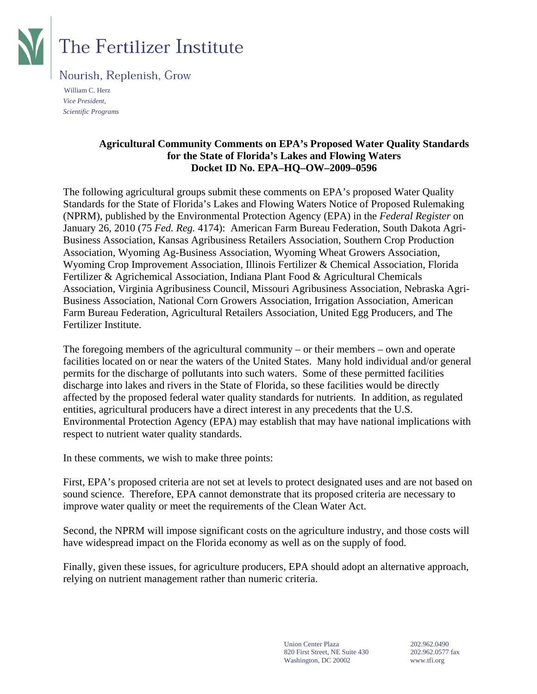

# **The Fertilizer Institute**

Nourish, Replenish, Grow

 William C. Herz *Vice President, Scientific Programs* 

#### **Agricultural Community Comments on EPA's Proposed Water Quality Standards for the State of Florida's Lakes and Flowing Waters Docket ID No. EPA–HQ–OW–2009–0596**

The following agricultural groups submit these comments on EPA's proposed Water Quality Standards for the State of Florida's Lakes and Flowing Waters Notice of Proposed Rulemaking (NPRM), published by the Environmental Protection Agency (EPA) in the *Federal Register* on January 26, 2010 (75 *Fed. Reg.* 4174): American Farm Bureau Federation, South Dakota Agri-Business Association, Kansas Agribusiness Retailers Association, Southern Crop Production Association, Wyoming Ag-Business Association, Wyoming Wheat Growers Association, Wyoming Crop Improvement Association, Illinois Fertilizer & Chemical Association, Florida Fertilizer & Agrichemical Association, Indiana Plant Food & Agricultural Chemicals Association, Virginia Agribusiness Council, Missouri Agribusiness Association, Nebraska Agri-Business Association, National Corn Growers Association, Irrigation Association, American Farm Bureau Federation, Agricultural Retailers Association, United Egg Producers, and The Fertilizer Institute.

The foregoing members of the agricultural community – or their members – own and operate facilities located on or near the waters of the United States. Many hold individual and/or general permits for the discharge of pollutants into such waters. Some of these permitted facilities discharge into lakes and rivers in the State of Florida, so these facilities would be directly affected by the proposed federal water quality standards for nutrients. In addition, as regulated entities, agricultural producers have a direct interest in any precedents that the U.S. Environmental Protection Agency (EPA) may establish that may have national implications with respect to nutrient water quality standards.

In these comments, we wish to make three points:

First, EPA's proposed criteria are not set at levels to protect designated uses and are not based on sound science. Therefore, EPA cannot demonstrate that its proposed criteria are necessary to improve water quality or meet the requirements of the Clean Water Act.

Second, the NPRM will impose significant costs on the agriculture industry, and those costs will have widespread impact on the Florida economy as well as on the supply of food.

Finally, given these issues, for agriculture producers, EPA should adopt an alternative approach, relying on nutrient management rather than numeric criteria.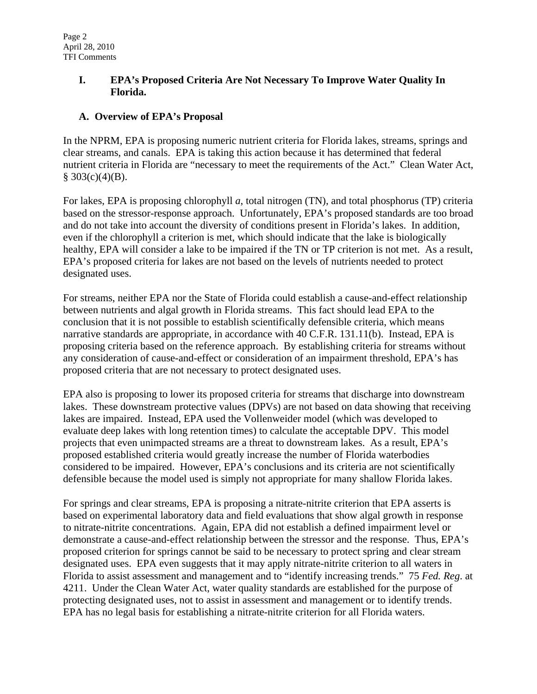## **I. EPA's Proposed Criteria Are Not Necessary To Improve Water Quality In Florida.**

# **A. Overview of EPA's Proposal**

In the NPRM, EPA is proposing numeric nutrient criteria for Florida lakes, streams, springs and clear streams, and canals. EPA is taking this action because it has determined that federal nutrient criteria in Florida are "necessary to meet the requirements of the Act." Clean Water Act,  $§ 303(c)(4)(B).$ 

For lakes, EPA is proposing chlorophyll *a*, total nitrogen (TN), and total phosphorus (TP) criteria based on the stressor-response approach. Unfortunately, EPA's proposed standards are too broad and do not take into account the diversity of conditions present in Florida's lakes. In addition, even if the chlorophyll a criterion is met, which should indicate that the lake is biologically healthy, EPA will consider a lake to be impaired if the TN or TP criterion is not met. As a result, EPA's proposed criteria for lakes are not based on the levels of nutrients needed to protect designated uses.

For streams, neither EPA nor the State of Florida could establish a cause-and-effect relationship between nutrients and algal growth in Florida streams. This fact should lead EPA to the conclusion that it is not possible to establish scientifically defensible criteria, which means narrative standards are appropriate, in accordance with 40 C.F.R. 131.11(b). Instead, EPA is proposing criteria based on the reference approach. By establishing criteria for streams without any consideration of cause-and-effect or consideration of an impairment threshold, EPA's has proposed criteria that are not necessary to protect designated uses.

EPA also is proposing to lower its proposed criteria for streams that discharge into downstream lakes. These downstream protective values (DPVs) are not based on data showing that receiving lakes are impaired. Instead, EPA used the Vollenweider model (which was developed to evaluate deep lakes with long retention times) to calculate the acceptable DPV. This model projects that even unimpacted streams are a threat to downstream lakes. As a result, EPA's proposed established criteria would greatly increase the number of Florida waterbodies considered to be impaired. However, EPA's conclusions and its criteria are not scientifically defensible because the model used is simply not appropriate for many shallow Florida lakes.

For springs and clear streams, EPA is proposing a nitrate-nitrite criterion that EPA asserts is based on experimental laboratory data and field evaluations that show algal growth in response to nitrate-nitrite concentrations. Again, EPA did not establish a defined impairment level or demonstrate a cause-and-effect relationship between the stressor and the response. Thus, EPA's proposed criterion for springs cannot be said to be necessary to protect spring and clear stream designated uses. EPA even suggests that it may apply nitrate-nitrite criterion to all waters in Florida to assist assessment and management and to "identify increasing trends." 75 *Fed. Reg*. at 4211. Under the Clean Water Act, water quality standards are established for the purpose of protecting designated uses, not to assist in assessment and management or to identify trends. EPA has no legal basis for establishing a nitrate-nitrite criterion for all Florida waters.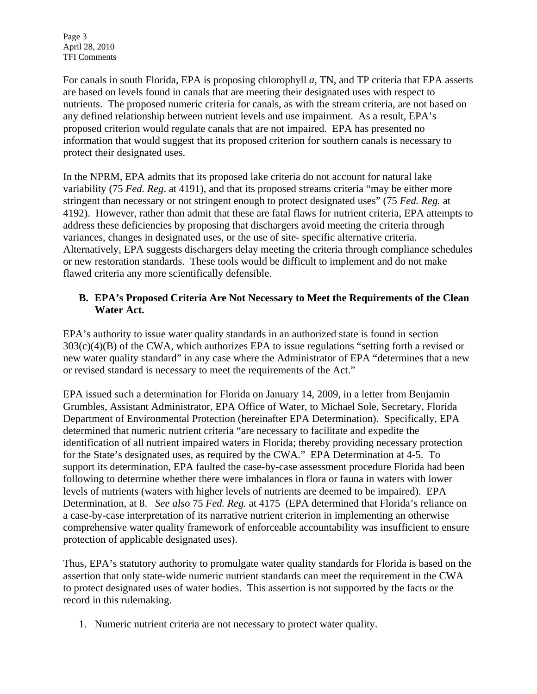Page 3 April 28, 2010 TFI Comments

For canals in south Florida, EPA is proposing chlorophyll *a*, TN, and TP criteria that EPA asserts are based on levels found in canals that are meeting their designated uses with respect to nutrients. The proposed numeric criteria for canals, as with the stream criteria, are not based on any defined relationship between nutrient levels and use impairment. As a result, EPA's proposed criterion would regulate canals that are not impaired. EPA has presented no information that would suggest that its proposed criterion for southern canals is necessary to protect their designated uses.

In the NPRM, EPA admits that its proposed lake criteria do not account for natural lake variability (75 *Fed. Reg*. at 4191), and that its proposed streams criteria "may be either more stringent than necessary or not stringent enough to protect designated uses" (75 *Fed. Reg.* at 4192). However, rather than admit that these are fatal flaws for nutrient criteria, EPA attempts to address these deficiencies by proposing that dischargers avoid meeting the criteria through variances, changes in designated uses, or the use of site- specific alternative criteria. Alternatively, EPA suggests dischargers delay meeting the criteria through compliance schedules or new restoration standards. These tools would be difficult to implement and do not make flawed criteria any more scientifically defensible.

## **B. EPA's Proposed Criteria Are Not Necessary to Meet the Requirements of the Clean Water Act.**

EPA's authority to issue water quality standards in an authorized state is found in section  $303(c)(4)(B)$  of the CWA, which authorizes EPA to issue regulations "setting forth a revised or new water quality standard" in any case where the Administrator of EPA "determines that a new or revised standard is necessary to meet the requirements of the Act."

EPA issued such a determination for Florida on January 14, 2009, in a letter from Benjamin Grumbles, Assistant Administrator, EPA Office of Water, to Michael Sole, Secretary, Florida Department of Environmental Protection (hereinafter EPA Determination). Specifically, EPA determined that numeric nutrient criteria "are necessary to facilitate and expedite the identification of all nutrient impaired waters in Florida; thereby providing necessary protection for the State's designated uses, as required by the CWA." EPA Determination at 4-5. To support its determination, EPA faulted the case-by-case assessment procedure Florida had been following to determine whether there were imbalances in flora or fauna in waters with lower levels of nutrients (waters with higher levels of nutrients are deemed to be impaired). EPA Determination, at 8. *See also* 75 *Fed. Reg.* at 4175 (EPA determined that Florida's reliance on a case-by-case interpretation of its narrative nutrient criterion in implementing an otherwise comprehensive water quality framework of enforceable accountability was insufficient to ensure protection of applicable designated uses).

Thus, EPA's statutory authority to promulgate water quality standards for Florida is based on the assertion that only state-wide numeric nutrient standards can meet the requirement in the CWA to protect designated uses of water bodies. This assertion is not supported by the facts or the record in this rulemaking.

1. Numeric nutrient criteria are not necessary to protect water quality.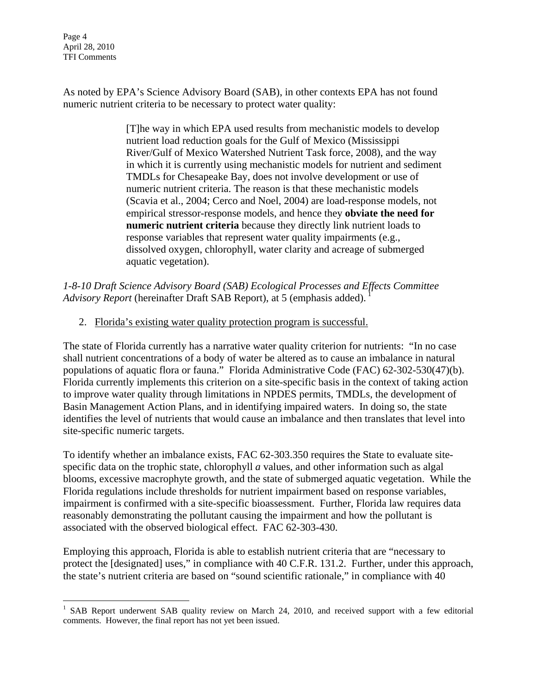Page 4 April 28, 2010 TFI Comments

 $\overline{a}$ 

As noted by EPA's Science Advisory Board (SAB), in other contexts EPA has not found numeric nutrient criteria to be necessary to protect water quality:

> [T]he way in which EPA used results from mechanistic models to develop nutrient load reduction goals for the Gulf of Mexico (Mississippi River/Gulf of Mexico Watershed Nutrient Task force, 2008), and the way in which it is currently using mechanistic models for nutrient and sediment TMDLs for Chesapeake Bay, does not involve development or use of numeric nutrient criteria. The reason is that these mechanistic models (Scavia et al., 2004; Cerco and Noel, 2004) are load-response models, not empirical stressor-response models, and hence they **obviate the need for numeric nutrient criteria** because they directly link nutrient loads to response variables that represent water quality impairments (e.g., dissolved oxygen, chlorophyll, water clarity and acreage of submerged aquatic vegetation).

*1-8-10 Draft Science Advisory Board (SAB) Ecological Processes and Effects Committee*  Advisory Report (hereinafter Draft SAB Report), at 5 (emphasis added).

#### 2. Florida's existing water quality protection program is successful.

The state of Florida currently has a narrative water quality criterion for nutrients: "In no case shall nutrient concentrations of a body of water be altered as to cause an imbalance in natural populations of aquatic flora or fauna." Florida Administrative Code (FAC) 62-302-530(47)(b). Florida currently implements this criterion on a site-specific basis in the context of taking action to improve water quality through limitations in NPDES permits, TMDLs, the development of Basin Management Action Plans, and in identifying impaired waters. In doing so, the state identifies the level of nutrients that would cause an imbalance and then translates that level into site-specific numeric targets.

To identify whether an imbalance exists, FAC 62-303.350 requires the State to evaluate sitespecific data on the trophic state, chlorophyll *a* values, and other information such as algal blooms, excessive macrophyte growth, and the state of submerged aquatic vegetation. While the Florida regulations include thresholds for nutrient impairment based on response variables, impairment is confirmed with a site-specific bioassessment. Further, Florida law requires data reasonably demonstrating the pollutant causing the impairment and how the pollutant is associated with the observed biological effect. FAC 62-303-430.

Employing this approach, Florida is able to establish nutrient criteria that are "necessary to protect the [designated] uses," in compliance with 40 C.F.R. 131.2. Further, under this approach, the state's nutrient criteria are based on "sound scientific rationale," in compliance with 40

<sup>&</sup>lt;sup>1</sup> SAB Report underwent SAB quality review on March 24, 2010, and received support with a few editorial comments. However, the final report has not yet been issued.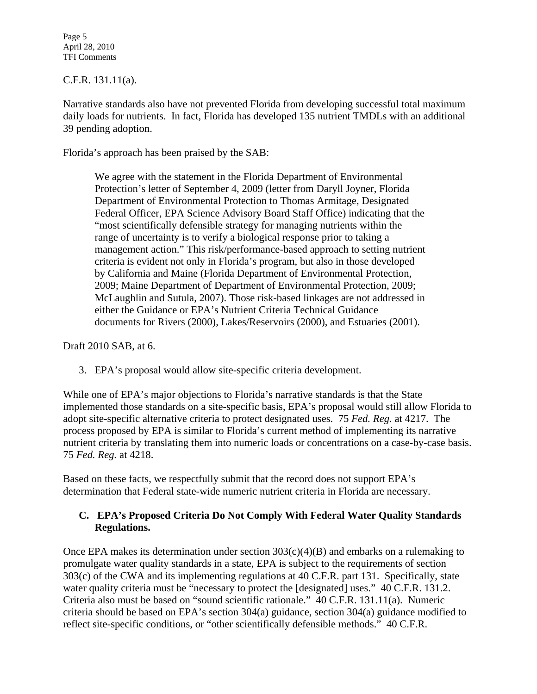Page 5 April 28, 2010 TFI Comments

#### C.F.R. 131.11(a).

Narrative standards also have not prevented Florida from developing successful total maximum daily loads for nutrients. In fact, Florida has developed 135 nutrient TMDLs with an additional 39 pending adoption.

Florida's approach has been praised by the SAB:

We agree with the statement in the Florida Department of Environmental Protection's letter of September 4, 2009 (letter from Daryll Joyner, Florida Department of Environmental Protection to Thomas Armitage, Designated Federal Officer, EPA Science Advisory Board Staff Office) indicating that the "most scientifically defensible strategy for managing nutrients within the range of uncertainty is to verify a biological response prior to taking a management action." This risk/performance-based approach to setting nutrient criteria is evident not only in Florida's program, but also in those developed by California and Maine (Florida Department of Environmental Protection, 2009; Maine Department of Department of Environmental Protection, 2009; McLaughlin and Sutula, 2007). Those risk-based linkages are not addressed in either the Guidance or EPA's Nutrient Criteria Technical Guidance documents for Rivers (2000), Lakes/Reservoirs (2000), and Estuaries (2001).

Draft 2010 SAB, at 6.

3. EPA's proposal would allow site-specific criteria development.

While one of EPA's major objections to Florida's narrative standards is that the State implemented those standards on a site-specific basis, EPA's proposal would still allow Florida to adopt site-specific alternative criteria to protect designated uses. 75 *Fed. Reg.* at 4217. The process proposed by EPA is similar to Florida's current method of implementing its narrative nutrient criteria by translating them into numeric loads or concentrations on a case-by-case basis. 75 *Fed. Reg.* at 4218.

Based on these facts, we respectfully submit that the record does not support EPA's determination that Federal state-wide numeric nutrient criteria in Florida are necessary.

#### **C. EPA's Proposed Criteria Do Not Comply With Federal Water Quality Standards Regulations.**

Once EPA makes its determination under section  $303(c)(4)(B)$  and embarks on a rulemaking to promulgate water quality standards in a state, EPA is subject to the requirements of section 303(c) of the CWA and its implementing regulations at 40 C.F.R. part 131. Specifically, state water quality criteria must be "necessary to protect the [designated] uses." 40 C.F.R. 131.2. Criteria also must be based on "sound scientific rationale." 40 C.F.R. 131.11(a). Numeric criteria should be based on EPA's section 304(a) guidance, section 304(a) guidance modified to reflect site-specific conditions, or "other scientifically defensible methods." 40 C.F.R.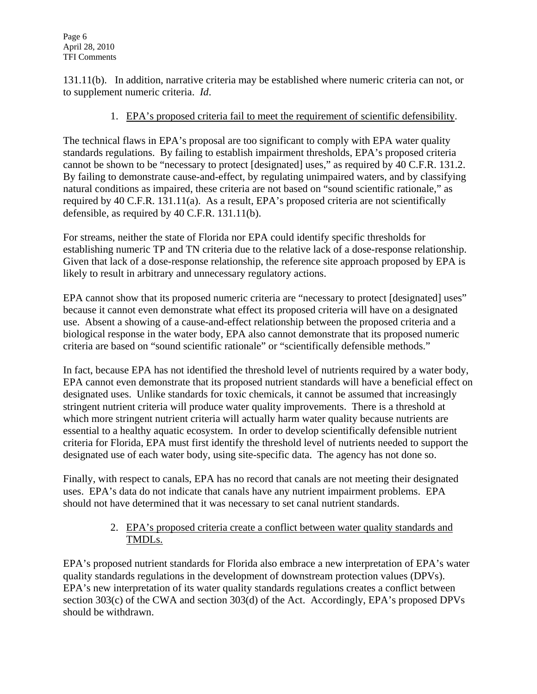131.11(b). In addition, narrative criteria may be established where numeric criteria can not, or to supplement numeric criteria. *Id*.

## 1. EPA's proposed criteria fail to meet the requirement of scientific defensibility.

The technical flaws in EPA's proposal are too significant to comply with EPA water quality standards regulations. By failing to establish impairment thresholds, EPA's proposed criteria cannot be shown to be "necessary to protect [designated] uses," as required by 40 C.F.R. 131.2. By failing to demonstrate cause-and-effect, by regulating unimpaired waters, and by classifying natural conditions as impaired, these criteria are not based on "sound scientific rationale," as required by 40 C.F.R. 131.11(a). As a result, EPA's proposed criteria are not scientifically defensible, as required by 40 C.F.R. 131.11(b).

For streams, neither the state of Florida nor EPA could identify specific thresholds for establishing numeric TP and TN criteria due to the relative lack of a dose-response relationship. Given that lack of a dose-response relationship, the reference site approach proposed by EPA is likely to result in arbitrary and unnecessary regulatory actions.

EPA cannot show that its proposed numeric criteria are "necessary to protect [designated] uses" because it cannot even demonstrate what effect its proposed criteria will have on a designated use. Absent a showing of a cause-and-effect relationship between the proposed criteria and a biological response in the water body, EPA also cannot demonstrate that its proposed numeric criteria are based on "sound scientific rationale" or "scientifically defensible methods."

In fact, because EPA has not identified the threshold level of nutrients required by a water body, EPA cannot even demonstrate that its proposed nutrient standards will have a beneficial effect on designated uses. Unlike standards for toxic chemicals, it cannot be assumed that increasingly stringent nutrient criteria will produce water quality improvements. There is a threshold at which more stringent nutrient criteria will actually harm water quality because nutrients are essential to a healthy aquatic ecosystem. In order to develop scientifically defensible nutrient criteria for Florida, EPA must first identify the threshold level of nutrients needed to support the designated use of each water body, using site-specific data. The agency has not done so.

Finally, with respect to canals, EPA has no record that canals are not meeting their designated uses. EPA's data do not indicate that canals have any nutrient impairment problems. EPA should not have determined that it was necessary to set canal nutrient standards.

## 2. EPA's proposed criteria create a conflict between water quality standards and TMDLs.

EPA's proposed nutrient standards for Florida also embrace a new interpretation of EPA's water quality standards regulations in the development of downstream protection values (DPVs). EPA's new interpretation of its water quality standards regulations creates a conflict between section 303(c) of the CWA and section 303(d) of the Act. Accordingly, EPA's proposed DPVs should be withdrawn.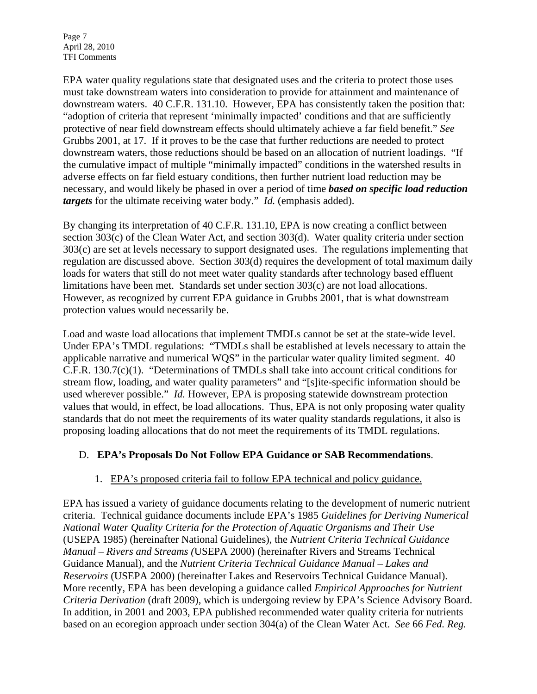Page 7 April 28, 2010 TFI Comments

EPA water quality regulations state that designated uses and the criteria to protect those uses must take downstream waters into consideration to provide for attainment and maintenance of downstream waters. 40 C.F.R. 131.10. However, EPA has consistently taken the position that: "adoption of criteria that represent 'minimally impacted' conditions and that are sufficiently protective of near field downstream effects should ultimately achieve a far field benefit." *See* Grubbs 2001, at 17. If it proves to be the case that further reductions are needed to protect downstream waters, those reductions should be based on an allocation of nutrient loadings. "If the cumulative impact of multiple "minimally impacted" conditions in the watershed results in adverse effects on far field estuary conditions, then further nutrient load reduction may be necessary, and would likely be phased in over a period of time *based on specific load reduction targets* for the ultimate receiving water body." *Id.* (emphasis added).

By changing its interpretation of 40 C.F.R. 131.10, EPA is now creating a conflict between section 303(c) of the Clean Water Act, and section 303(d). Water quality criteria under section 303(c) are set at levels necessary to support designated uses. The regulations implementing that regulation are discussed above. Section 303(d) requires the development of total maximum daily loads for waters that still do not meet water quality standards after technology based effluent limitations have been met. Standards set under section 303(c) are not load allocations. However, as recognized by current EPA guidance in Grubbs 2001, that is what downstream protection values would necessarily be.

Load and waste load allocations that implement TMDLs cannot be set at the state-wide level. Under EPA's TMDL regulations: "TMDLs shall be established at levels necessary to attain the applicable narrative and numerical WQS" in the particular water quality limited segment. 40 C.F.R. 130.7(c)(1). "Determinations of TMDLs shall take into account critical conditions for stream flow, loading, and water quality parameters" and "[s]ite-specific information should be used wherever possible." *Id.* However, EPA is proposing statewide downstream protection values that would, in effect, be load allocations. Thus, EPA is not only proposing water quality standards that do not meet the requirements of its water quality standards regulations, it also is proposing loading allocations that do not meet the requirements of its TMDL regulations.

#### D. **EPA's Proposals Do Not Follow EPA Guidance or SAB Recommendations**.

# 1. EPA's proposed criteria fail to follow EPA technical and policy guidance.

EPA has issued a variety of guidance documents relating to the development of numeric nutrient criteria. Technical guidance documents include EPA's 1985 *Guidelines for Deriving Numerical National Water Quality Criteria for the Protection of Aquatic Organisms and Their Use*  (USEPA 1985) (hereinafter National Guidelines), the *Nutrient Criteria Technical Guidance Manual – Rivers and Streams (*USEPA 2000) (hereinafter Rivers and Streams Technical Guidance Manual), and the *Nutrient Criteria Technical Guidance Manual – Lakes and Reservoirs* (USEPA 2000) (hereinafter Lakes and Reservoirs Technical Guidance Manual). More recently, EPA has been developing a guidance called *Empirical Approaches for Nutrient Criteria Derivation* (draft 2009), which is undergoing review by EPA's Science Advisory Board. In addition, in 2001 and 2003, EPA published recommended water quality criteria for nutrients based on an ecoregion approach under section 304(a) of the Clean Water Act. *See* 66 *Fed. Reg.*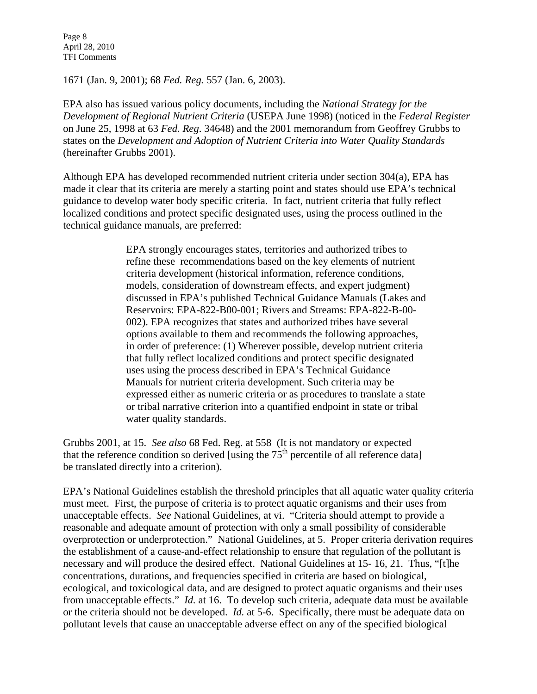Page 8 April 28, 2010 TFI Comments

1671 (Jan. 9, 2001); 68 *Fed. Reg.* 557 (Jan. 6, 2003).

EPA also has issued various policy documents, including the *National Strategy for the Development of Regional Nutrient Criteria* (USEPA June 1998) (noticed in the *Federal Register* on June 25, 1998 at 63 *Fed. Reg*. 34648) and the 2001 memorandum from Geoffrey Grubbs to states on the *Development and Adoption of Nutrient Criteria into Water Quality Standards* (hereinafter Grubbs 2001).

Although EPA has developed recommended nutrient criteria under section 304(a), EPA has made it clear that its criteria are merely a starting point and states should use EPA's technical guidance to develop water body specific criteria. In fact, nutrient criteria that fully reflect localized conditions and protect specific designated uses, using the process outlined in the technical guidance manuals, are preferred:

> EPA strongly encourages states, territories and authorized tribes to refine these recommendations based on the key elements of nutrient criteria development (historical information, reference conditions, models, consideration of downstream effects, and expert judgment) discussed in EPA's published Technical Guidance Manuals (Lakes and Reservoirs: EPA-822-B00-001; Rivers and Streams: EPA-822-B-00- 002). EPA recognizes that states and authorized tribes have several options available to them and recommends the following approaches, in order of preference: (1) Wherever possible, develop nutrient criteria that fully reflect localized conditions and protect specific designated uses using the process described in EPA's Technical Guidance Manuals for nutrient criteria development. Such criteria may be expressed either as numeric criteria or as procedures to translate a state or tribal narrative criterion into a quantified endpoint in state or tribal water quality standards.

Grubbs 2001, at 15. *See also* 68 Fed. Reg. at 558 (It is not mandatory or expected that the reference condition so derived [using the  $75<sup>th</sup>$  percentile of all reference data] be translated directly into a criterion).

EPA's National Guidelines establish the threshold principles that all aquatic water quality criteria must meet. First, the purpose of criteria is to protect aquatic organisms and their uses from unacceptable effects. *See* National Guidelines, at vi. "Criteria should attempt to provide a reasonable and adequate amount of protection with only a small possibility of considerable overprotection or underprotection." National Guidelines, at 5. Proper criteria derivation requires the establishment of a cause-and-effect relationship to ensure that regulation of the pollutant is necessary and will produce the desired effect. National Guidelines at 15- 16, 21. Thus, "[t]he concentrations, durations, and frequencies specified in criteria are based on biological, ecological, and toxicological data, and are designed to protect aquatic organisms and their uses from unacceptable effects." *Id.* at 16. To develop such criteria, adequate data must be available or the criteria should not be developed. *Id.* at 5-6. Specifically, there must be adequate data on pollutant levels that cause an unacceptable adverse effect on any of the specified biological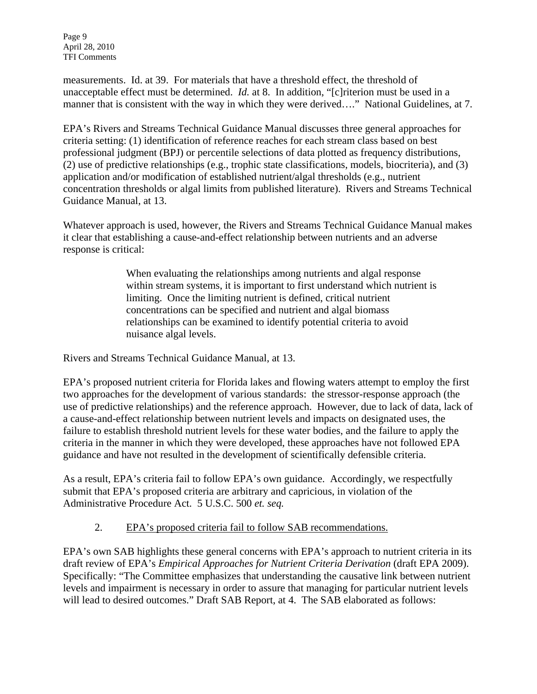Page 9 April 28, 2010 TFI Comments

measurements. Id. at 39. For materials that have a threshold effect, the threshold of unacceptable effect must be determined. *Id.* at 8. In addition, "[c]riterion must be used in a manner that is consistent with the way in which they were derived…." National Guidelines, at 7.

EPA's Rivers and Streams Technical Guidance Manual discusses three general approaches for criteria setting: (1) identification of reference reaches for each stream class based on best professional judgment (BPJ) or percentile selections of data plotted as frequency distributions, (2) use of predictive relationships (e.g., trophic state classifications, models, biocriteria), and (3) application and/or modification of established nutrient/algal thresholds (e.g., nutrient concentration thresholds or algal limits from published literature). Rivers and Streams Technical Guidance Manual, at 13.

Whatever approach is used, however, the Rivers and Streams Technical Guidance Manual makes it clear that establishing a cause-and-effect relationship between nutrients and an adverse response is critical:

> When evaluating the relationships among nutrients and algal response within stream systems, it is important to first understand which nutrient is limiting. Once the limiting nutrient is defined, critical nutrient concentrations can be specified and nutrient and algal biomass relationships can be examined to identify potential criteria to avoid nuisance algal levels.

Rivers and Streams Technical Guidance Manual, at 13.

EPA's proposed nutrient criteria for Florida lakes and flowing waters attempt to employ the first two approaches for the development of various standards: the stressor-response approach (the use of predictive relationships) and the reference approach. However, due to lack of data, lack of a cause-and-effect relationship between nutrient levels and impacts on designated uses, the failure to establish threshold nutrient levels for these water bodies, and the failure to apply the criteria in the manner in which they were developed, these approaches have not followed EPA guidance and have not resulted in the development of scientifically defensible criteria.

As a result, EPA's criteria fail to follow EPA's own guidance. Accordingly, we respectfully submit that EPA's proposed criteria are arbitrary and capricious, in violation of the Administrative Procedure Act. 5 U.S.C. 500 *et. seq.* 

# 2. EPA's proposed criteria fail to follow SAB recommendations.

EPA's own SAB highlights these general concerns with EPA's approach to nutrient criteria in its draft review of EPA's *Empirical Approaches for Nutrient Criteria Derivation* (draft EPA 2009). Specifically: "The Committee emphasizes that understanding the causative link between nutrient levels and impairment is necessary in order to assure that managing for particular nutrient levels will lead to desired outcomes." Draft SAB Report, at 4. The SAB elaborated as follows: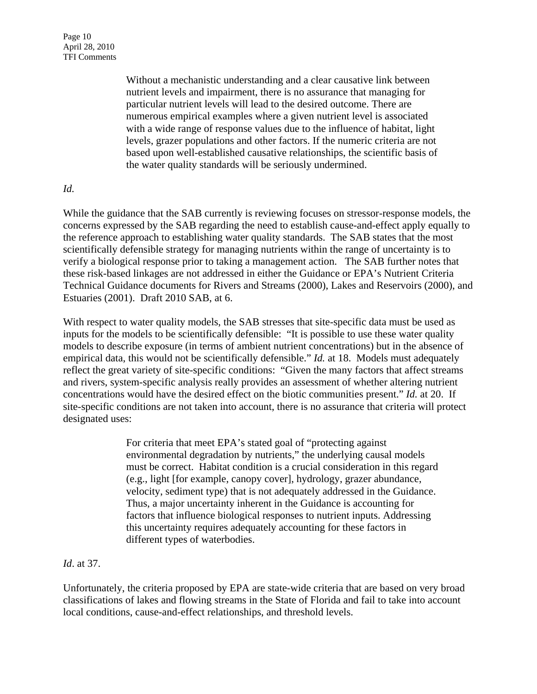Page 10 April 28, 2010 TFI Comments

> Without a mechanistic understanding and a clear causative link between nutrient levels and impairment, there is no assurance that managing for particular nutrient levels will lead to the desired outcome. There are numerous empirical examples where a given nutrient level is associated with a wide range of response values due to the influence of habitat, light levels, grazer populations and other factors. If the numeric criteria are not based upon well-established causative relationships, the scientific basis of the water quality standards will be seriously undermined.

#### *Id.*

While the guidance that the SAB currently is reviewing focuses on stressor-response models, the concerns expressed by the SAB regarding the need to establish cause-and-effect apply equally to the reference approach to establishing water quality standards. The SAB states that the most scientifically defensible strategy for managing nutrients within the range of uncertainty is to verify a biological response prior to taking a management action. The SAB further notes that these risk-based linkages are not addressed in either the Guidance or EPA's Nutrient Criteria Technical Guidance documents for Rivers and Streams (2000), Lakes and Reservoirs (2000), and Estuaries (2001). Draft 2010 SAB, at 6.

With respect to water quality models, the SAB stresses that site-specific data must be used as inputs for the models to be scientifically defensible: "It is possible to use these water quality models to describe exposure (in terms of ambient nutrient concentrations) but in the absence of empirical data, this would not be scientifically defensible." *Id.* at 18. Models must adequately reflect the great variety of site-specific conditions: "Given the many factors that affect streams and rivers, system-specific analysis really provides an assessment of whether altering nutrient concentrations would have the desired effect on the biotic communities present." *Id.* at 20. If site-specific conditions are not taken into account, there is no assurance that criteria will protect designated uses:

> For criteria that meet EPA's stated goal of "protecting against environmental degradation by nutrients," the underlying causal models must be correct. Habitat condition is a crucial consideration in this regard (e.g., light [for example, canopy cover], hydrology, grazer abundance, velocity, sediment type) that is not adequately addressed in the Guidance. Thus, a major uncertainty inherent in the Guidance is accounting for factors that influence biological responses to nutrient inputs. Addressing this uncertainty requires adequately accounting for these factors in different types of waterbodies.

#### *Id*. at 37.

Unfortunately, the criteria proposed by EPA are state-wide criteria that are based on very broad classifications of lakes and flowing streams in the State of Florida and fail to take into account local conditions, cause-and-effect relationships, and threshold levels.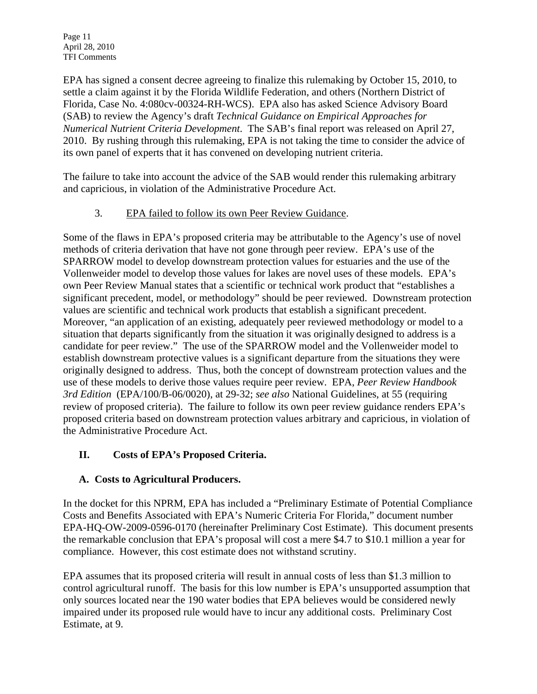Page 11 April 28, 2010 TFI Comments

EPA has signed a consent decree agreeing to finalize this rulemaking by October 15, 2010, to settle a claim against it by the Florida Wildlife Federation, and others (Northern District of Florida, Case No. 4:080cv-00324-RH-WCS). EPA also has asked Science Advisory Board (SAB) to review the Agency's draft *Technical Guidance on Empirical Approaches for Numerical Nutrient Criteria Development*. The SAB's final report was released on April 27, 2010. By rushing through this rulemaking, EPA is not taking the time to consider the advice of its own panel of experts that it has convened on developing nutrient criteria.

The failure to take into account the advice of the SAB would render this rulemaking arbitrary and capricious, in violation of the Administrative Procedure Act.

## 3. EPA failed to follow its own Peer Review Guidance.

Some of the flaws in EPA's proposed criteria may be attributable to the Agency's use of novel methods of criteria derivation that have not gone through peer review. EPA's use of the SPARROW model to develop downstream protection values for estuaries and the use of the Vollenweider model to develop those values for lakes are novel uses of these models. EPA's own Peer Review Manual states that a scientific or technical work product that "establishes a significant precedent, model, or methodology" should be peer reviewed. Downstream protection values are scientific and technical work products that establish a significant precedent. Moreover, "an application of an existing, adequately peer reviewed methodology or model to a situation that departs significantly from the situation it was originally designed to address is a candidate for peer review." The use of the SPARROW model and the Vollenweider model to establish downstream protective values is a significant departure from the situations they were originally designed to address. Thus, both the concept of downstream protection values and the use of these models to derive those values require peer review. EPA, *Peer Review Handbook 3rd Edition* (EPA/100/B-06/0020), at 29-32; *see also* National Guidelines, at 55 (requiring review of proposed criteria). The failure to follow its own peer review guidance renders EPA's proposed criteria based on downstream protection values arbitrary and capricious, in violation of the Administrative Procedure Act.

# **II. Costs of EPA's Proposed Criteria.**

# **A. Costs to Agricultural Producers.**

In the docket for this NPRM, EPA has included a "Preliminary Estimate of Potential Compliance Costs and Benefits Associated with EPA's Numeric Criteria For Florida," document number EPA-HQ-OW-2009-0596-0170 (hereinafter Preliminary Cost Estimate). This document presents the remarkable conclusion that EPA's proposal will cost a mere \$4.7 to \$10.1 million a year for compliance. However, this cost estimate does not withstand scrutiny.

EPA assumes that its proposed criteria will result in annual costs of less than \$1.3 million to control agricultural runoff. The basis for this low number is EPA's unsupported assumption that only sources located near the 190 water bodies that EPA believes would be considered newly impaired under its proposed rule would have to incur any additional costs. Preliminary Cost Estimate, at 9.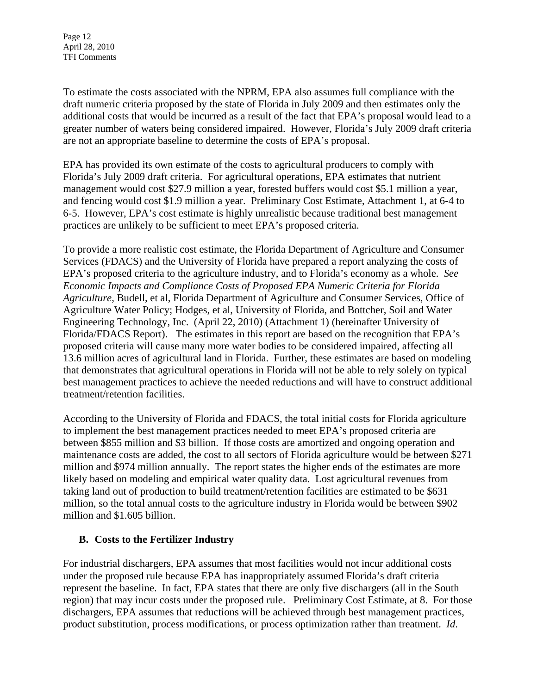Page 12 April 28, 2010 TFI Comments

To estimate the costs associated with the NPRM, EPA also assumes full compliance with the draft numeric criteria proposed by the state of Florida in July 2009 and then estimates only the additional costs that would be incurred as a result of the fact that EPA's proposal would lead to a greater number of waters being considered impaired. However, Florida's July 2009 draft criteria are not an appropriate baseline to determine the costs of EPA's proposal.

EPA has provided its own estimate of the costs to agricultural producers to comply with Florida's July 2009 draft criteria. For agricultural operations, EPA estimates that nutrient management would cost \$27.9 million a year, forested buffers would cost \$5.1 million a year, and fencing would cost \$1.9 million a year. Preliminary Cost Estimate, Attachment 1, at 6-4 to 6-5. However, EPA's cost estimate is highly unrealistic because traditional best management practices are unlikely to be sufficient to meet EPA's proposed criteria.

To provide a more realistic cost estimate, the Florida Department of Agriculture and Consumer Services (FDACS) and the University of Florida have prepared a report analyzing the costs of EPA's proposed criteria to the agriculture industry, and to Florida's economy as a whole. *See Economic Impacts and Compliance Costs of Proposed EPA Numeric Criteria for Florida Agriculture*, Budell, et al, Florida Department of Agriculture and Consumer Services, Office of Agriculture Water Policy; Hodges, et al, University of Florida, and Bottcher, Soil and Water Engineering Technology, Inc. (April 22, 2010) (Attachment 1) (hereinafter University of Florida/FDACS Report). The estimates in this report are based on the recognition that EPA's proposed criteria will cause many more water bodies to be considered impaired, affecting all 13.6 million acres of agricultural land in Florida. Further, these estimates are based on modeling that demonstrates that agricultural operations in Florida will not be able to rely solely on typical best management practices to achieve the needed reductions and will have to construct additional treatment/retention facilities.

According to the University of Florida and FDACS, the total initial costs for Florida agriculture to implement the best management practices needed to meet EPA's proposed criteria are between \$855 million and \$3 billion. If those costs are amortized and ongoing operation and maintenance costs are added, the cost to all sectors of Florida agriculture would be between \$271 million and \$974 million annually. The report states the higher ends of the estimates are more likely based on modeling and empirical water quality data. Lost agricultural revenues from taking land out of production to build treatment/retention facilities are estimated to be \$631 million, so the total annual costs to the agriculture industry in Florida would be between \$902 million and \$1.605 billion.

#### **B. Costs to the Fertilizer Industry**

For industrial dischargers, EPA assumes that most facilities would not incur additional costs under the proposed rule because EPA has inappropriately assumed Florida's draft criteria represent the baseline. In fact, EPA states that there are only five dischargers (all in the South region) that may incur costs under the proposed rule. Preliminary Cost Estimate, at 8. For those dischargers, EPA assumes that reductions will be achieved through best management practices, product substitution, process modifications, or process optimization rather than treatment. *Id*.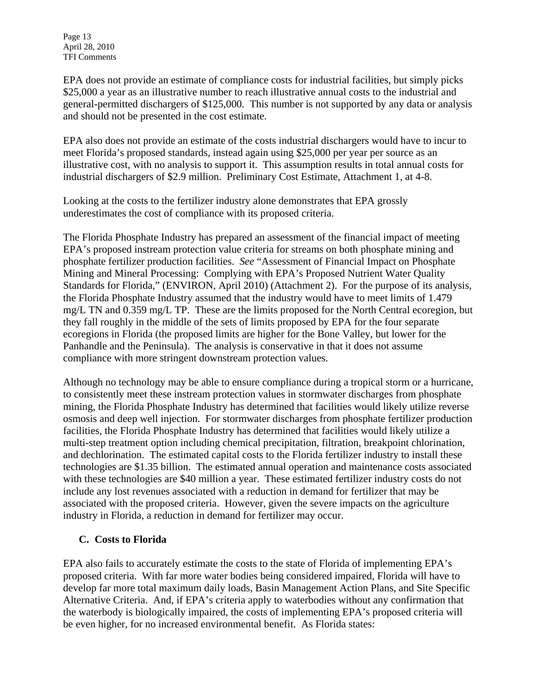Page 13 April 28, 2010 TFI Comments

EPA does not provide an estimate of compliance costs for industrial facilities, but simply picks \$25,000 a year as an illustrative number to reach illustrative annual costs to the industrial and general-permitted dischargers of \$125,000. This number is not supported by any data or analysis and should not be presented in the cost estimate.

EPA also does not provide an estimate of the costs industrial dischargers would have to incur to meet Florida's proposed standards, instead again using \$25,000 per year per source as an illustrative cost, with no analysis to support it. This assumption results in total annual costs for industrial dischargers of \$2.9 million. Preliminary Cost Estimate, Attachment 1, at 4-8.

Looking at the costs to the fertilizer industry alone demonstrates that EPA grossly underestimates the cost of compliance with its proposed criteria.

The Florida Phosphate Industry has prepared an assessment of the financial impact of meeting EPA's proposed instream protection value criteria for streams on both phosphate mining and phosphate fertilizer production facilities. *See* "Assessment of Financial Impact on Phosphate Mining and Mineral Processing: Complying with EPA's Proposed Nutrient Water Quality Standards for Florida," (ENVIRON, April 2010) (Attachment 2). For the purpose of its analysis, the Florida Phosphate Industry assumed that the industry would have to meet limits of 1.479 mg/L TN and 0.359 mg/L TP. These are the limits proposed for the North Central ecoregion, but they fall roughly in the middle of the sets of limits proposed by EPA for the four separate ecoregions in Florida (the proposed limits are higher for the Bone Valley, but lower for the Panhandle and the Peninsula). The analysis is conservative in that it does not assume compliance with more stringent downstream protection values.

Although no technology may be able to ensure compliance during a tropical storm or a hurricane, to consistently meet these instream protection values in stormwater discharges from phosphate mining, the Florida Phosphate Industry has determined that facilities would likely utilize reverse osmosis and deep well injection. For stormwater discharges from phosphate fertilizer production facilities, the Florida Phosphate Industry has determined that facilities would likely utilize a multi-step treatment option including chemical precipitation, filtration, breakpoint chlorination, and dechlorination. The estimated capital costs to the Florida fertilizer industry to install these technologies are \$1.35 billion. The estimated annual operation and maintenance costs associated with these technologies are \$40 million a year. These estimated fertilizer industry costs do not include any lost revenues associated with a reduction in demand for fertilizer that may be associated with the proposed criteria. However, given the severe impacts on the agriculture industry in Florida, a reduction in demand for fertilizer may occur.

#### **C. Costs to Florida**

EPA also fails to accurately estimate the costs to the state of Florida of implementing EPA's proposed criteria. With far more water bodies being considered impaired, Florida will have to develop far more total maximum daily loads, Basin Management Action Plans, and Site Specific Alternative Criteria. And, if EPA's criteria apply to waterbodies without any confirmation that the waterbody is biologically impaired, the costs of implementing EPA's proposed criteria will be even higher, for no increased environmental benefit. As Florida states: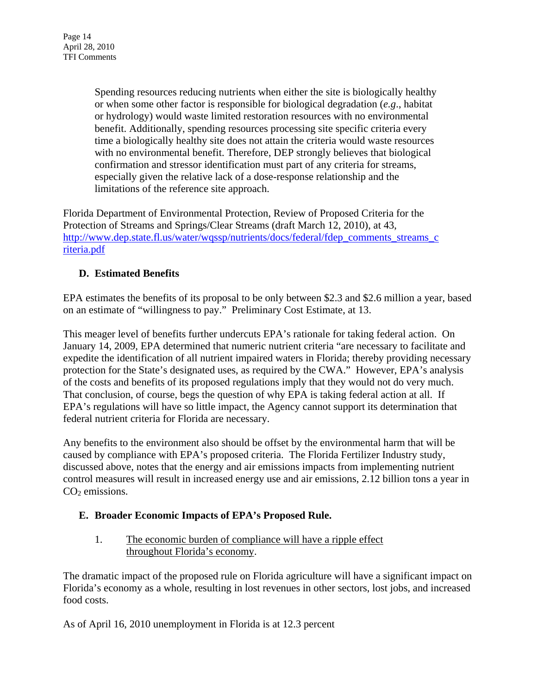Spending resources reducing nutrients when either the site is biologically healthy or when some other factor is responsible for biological degradation (*e.g*., habitat or hydrology) would waste limited restoration resources with no environmental benefit. Additionally, spending resources processing site specific criteria every time a biologically healthy site does not attain the criteria would waste resources with no environmental benefit. Therefore, DEP strongly believes that biological confirmation and stressor identification must part of any criteria for streams, especially given the relative lack of a dose-response relationship and the limitations of the reference site approach.

Florida Department of Environmental Protection, Review of Proposed Criteria for the Protection of Streams and Springs/Clear Streams (draft March 12, 2010), at 43, http://www.dep.state.fl.us/water/wqssp/nutrients/docs/federal/fdep\_comments\_streams\_c riteria.pdf

# **D. Estimated Benefits**

EPA estimates the benefits of its proposal to be only between \$2.3 and \$2.6 million a year, based on an estimate of "willingness to pay." Preliminary Cost Estimate, at 13.

This meager level of benefits further undercuts EPA's rationale for taking federal action. On January 14, 2009, EPA determined that numeric nutrient criteria "are necessary to facilitate and expedite the identification of all nutrient impaired waters in Florida; thereby providing necessary protection for the State's designated uses, as required by the CWA." However, EPA's analysis of the costs and benefits of its proposed regulations imply that they would not do very much. That conclusion, of course, begs the question of why EPA is taking federal action at all. If EPA's regulations will have so little impact, the Agency cannot support its determination that federal nutrient criteria for Florida are necessary.

Any benefits to the environment also should be offset by the environmental harm that will be caused by compliance with EPA's proposed criteria. The Florida Fertilizer Industry study, discussed above, notes that the energy and air emissions impacts from implementing nutrient control measures will result in increased energy use and air emissions, 2.12 billion tons a year in  $CO<sub>2</sub>$  emissions.

# **E. Broader Economic Impacts of EPA's Proposed Rule.**

1. The economic burden of compliance will have a ripple effect throughout Florida's economy.

The dramatic impact of the proposed rule on Florida agriculture will have a significant impact on Florida's economy as a whole, resulting in lost revenues in other sectors, lost jobs, and increased food costs.

As of April 16, 2010 unemployment in Florida is at 12.3 percent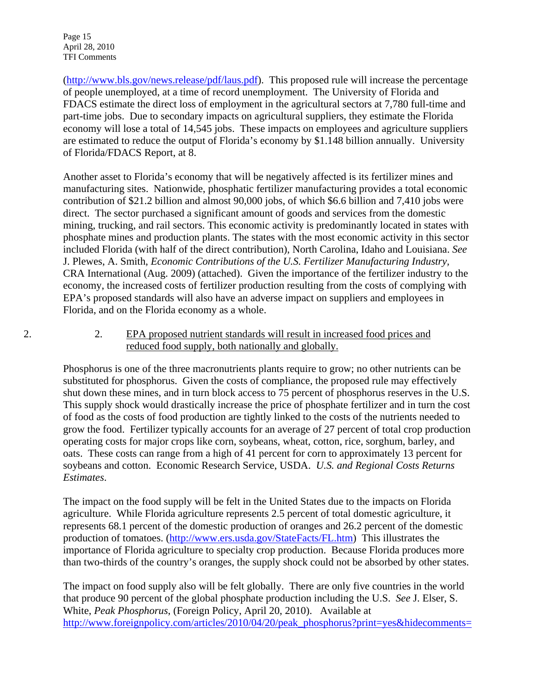Page 15 April 28, 2010 TFI Comments

(http://www.bls.gov/news.release/pdf/laus.pdf). This proposed rule will increase the percentage of people unemployed, at a time of record unemployment. The University of Florida and FDACS estimate the direct loss of employment in the agricultural sectors at 7,780 full-time and part-time jobs. Due to secondary impacts on agricultural suppliers, they estimate the Florida economy will lose a total of 14,545 jobs. These impacts on employees and agriculture suppliers are estimated to reduce the output of Florida's economy by \$1.148 billion annually. University of Florida/FDACS Report, at 8.

Another asset to Florida's economy that will be negatively affected is its fertilizer mines and manufacturing sites. Nationwide, phosphatic fertilizer manufacturing provides a total economic contribution of \$21.2 billion and almost 90,000 jobs, of which \$6.6 billion and 7,410 jobs were direct. The sector purchased a significant amount of goods and services from the domestic mining, trucking, and rail sectors. This economic activity is predominantly located in states with phosphate mines and production plants. The states with the most economic activity in this sector included Florida (with half of the direct contribution), North Carolina, Idaho and Louisiana. *See* J. Plewes, A. Smith, *Economic Contributions of the U.S. Fertilizer Manufacturing Industry,*  CRA International (Aug. 2009) (attached). Given the importance of the fertilizer industry to the economy, the increased costs of fertilizer production resulting from the costs of complying with EPA's proposed standards will also have an adverse impact on suppliers and employees in Florida, and on the Florida economy as a whole.

2. **EPA** proposed nutrient standards will result in increased food prices and reduced food supply, both nationally and globally.

Phosphorus is one of the three macronutrients plants require to grow; no other nutrients can be substituted for phosphorus. Given the costs of compliance, the proposed rule may effectively shut down these mines, and in turn block access to 75 percent of phosphorus reserves in the U.S. This supply shock would drastically increase the price of phosphate fertilizer and in turn the cost of food as the costs of food production are tightly linked to the costs of the nutrients needed to grow the food. Fertilizer typically accounts for an average of 27 percent of total crop production operating costs for major crops like corn, soybeans, wheat, cotton, rice, sorghum, barley, and oats. These costs can range from a high of 41 percent for corn to approximately 13 percent for soybeans and cotton. Economic Research Service, USDA. *U.S. and Regional Costs Returns Estimates*.

The impact on the food supply will be felt in the United States due to the impacts on Florida agriculture. While Florida agriculture represents 2.5 percent of total domestic agriculture, it represents 68.1 percent of the domestic production of oranges and 26.2 percent of the domestic production of tomatoes. (http://www.ers.usda.gov/StateFacts/FL.htm) This illustrates the importance of Florida agriculture to specialty crop production. Because Florida produces more than two-thirds of the country's oranges, the supply shock could not be absorbed by other states.

The impact on food supply also will be felt globally. There are only five countries in the world that produce 90 percent of the global phosphate production including the U.S. *See* J. Elser, S. White, *Peak Phosphorus*, (Foreign Policy, April 20, 2010). Available at http://www.foreignpolicy.com/articles/2010/04/20/peak\_phosphorus?print=yes&hidecomments=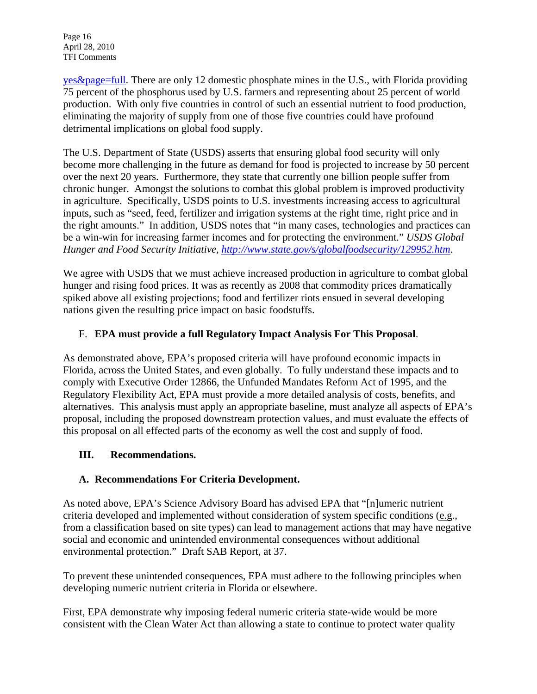Page 16 April 28, 2010 TFI Comments

yes&page=full. There are only 12 domestic phosphate mines in the U.S., with Florida providing 75 percent of the phosphorus used by U.S. farmers and representing about 25 percent of world production. With only five countries in control of such an essential nutrient to food production, eliminating the majority of supply from one of those five countries could have profound detrimental implications on global food supply.

The U.S. Department of State (USDS) asserts that ensuring global food security will only become more challenging in the future as demand for food is projected to increase by 50 percent over the next 20 years. Furthermore, they state that currently one billion people suffer from chronic hunger. Amongst the solutions to combat this global problem is improved productivity in agriculture. Specifically, USDS points to U.S. investments increasing access to agricultural inputs, such as "seed, feed, fertilizer and irrigation systems at the right time, right price and in the right amounts." In addition, USDS notes that "in many cases, technologies and practices can be a win-win for increasing farmer incomes and for protecting the environment." *USDS Global Hunger and Food Security Initiative, http://www.state.gov/s/globalfoodsecurity/129952.htm*.

We agree with USDS that we must achieve increased production in agriculture to combat global hunger and rising food prices. It was as recently as 2008 that commodity prices dramatically spiked above all existing projections; food and fertilizer riots ensued in several developing nations given the resulting price impact on basic foodstuffs.

## F. **EPA must provide a full Regulatory Impact Analysis For This Proposal**.

As demonstrated above, EPA's proposed criteria will have profound economic impacts in Florida, across the United States, and even globally. To fully understand these impacts and to comply with Executive Order 12866, the Unfunded Mandates Reform Act of 1995, and the Regulatory Flexibility Act, EPA must provide a more detailed analysis of costs, benefits, and alternatives. This analysis must apply an appropriate baseline, must analyze all aspects of EPA's proposal, including the proposed downstream protection values, and must evaluate the effects of this proposal on all effected parts of the economy as well the cost and supply of food.

#### **III. Recommendations.**

# **A. Recommendations For Criteria Development.**

As noted above, EPA's Science Advisory Board has advised EPA that "[n]umeric nutrient criteria developed and implemented without consideration of system specific conditions (e.g., from a classification based on site types) can lead to management actions that may have negative social and economic and unintended environmental consequences without additional environmental protection." Draft SAB Report, at 37.

To prevent these unintended consequences, EPA must adhere to the following principles when developing numeric nutrient criteria in Florida or elsewhere.

First, EPA demonstrate why imposing federal numeric criteria state-wide would be more consistent with the Clean Water Act than allowing a state to continue to protect water quality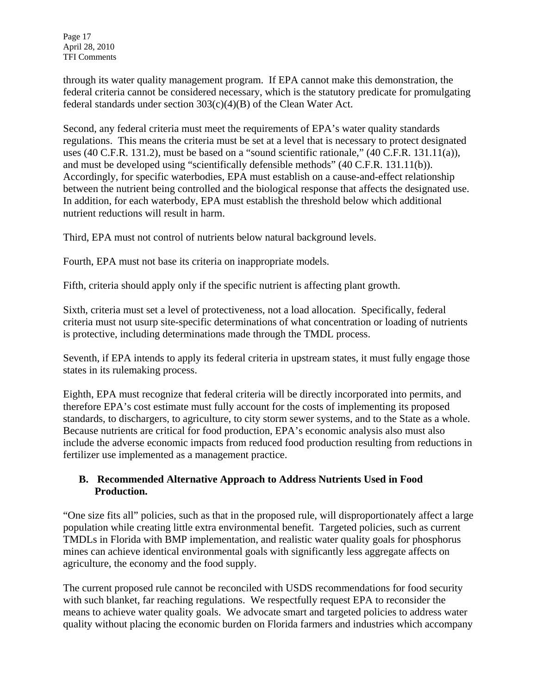Page 17 April 28, 2010 TFI Comments

through its water quality management program. If EPA cannot make this demonstration, the federal criteria cannot be considered necessary, which is the statutory predicate for promulgating federal standards under section 303(c)(4)(B) of the Clean Water Act.

Second, any federal criteria must meet the requirements of EPA's water quality standards regulations. This means the criteria must be set at a level that is necessary to protect designated uses (40 C.F.R. 131.2), must be based on a "sound scientific rationale," (40 C.F.R. 131.11(a)), and must be developed using "scientifically defensible methods" (40 C.F.R. 131.11(b)). Accordingly, for specific waterbodies, EPA must establish on a cause-and-effect relationship between the nutrient being controlled and the biological response that affects the designated use. In addition, for each waterbody, EPA must establish the threshold below which additional nutrient reductions will result in harm.

Third, EPA must not control of nutrients below natural background levels.

Fourth, EPA must not base its criteria on inappropriate models.

Fifth, criteria should apply only if the specific nutrient is affecting plant growth.

Sixth, criteria must set a level of protectiveness, not a load allocation. Specifically, federal criteria must not usurp site-specific determinations of what concentration or loading of nutrients is protective, including determinations made through the TMDL process.

Seventh, if EPA intends to apply its federal criteria in upstream states, it must fully engage those states in its rulemaking process.

Eighth, EPA must recognize that federal criteria will be directly incorporated into permits, and therefore EPA's cost estimate must fully account for the costs of implementing its proposed standards, to dischargers, to agriculture, to city storm sewer systems, and to the State as a whole. Because nutrients are critical for food production, EPA's economic analysis also must also include the adverse economic impacts from reduced food production resulting from reductions in fertilizer use implemented as a management practice.

#### **B. Recommended Alternative Approach to Address Nutrients Used in Food Production.**

"One size fits all" policies, such as that in the proposed rule, will disproportionately affect a large population while creating little extra environmental benefit. Targeted policies, such as current TMDLs in Florida with BMP implementation, and realistic water quality goals for phosphorus mines can achieve identical environmental goals with significantly less aggregate affects on agriculture, the economy and the food supply.

The current proposed rule cannot be reconciled with USDS recommendations for food security with such blanket, far reaching regulations. We respectfully request EPA to reconsider the means to achieve water quality goals. We advocate smart and targeted policies to address water quality without placing the economic burden on Florida farmers and industries which accompany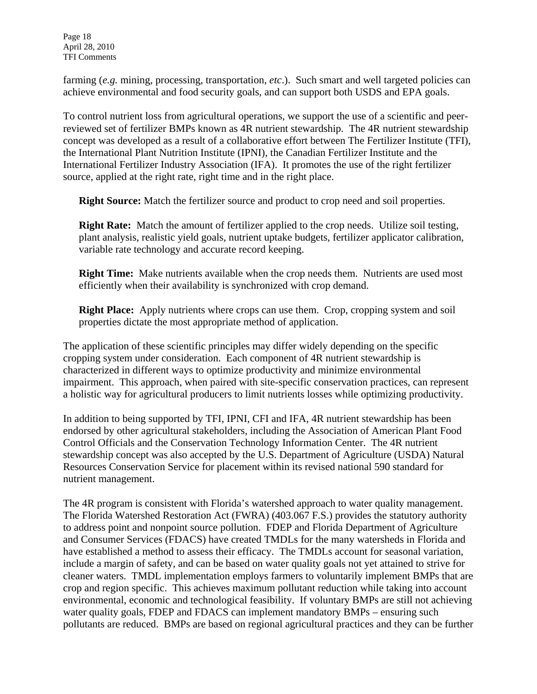Page 18 April 28, 2010 TFI Comments

farming (*e.g.* mining, processing, transportation, *etc*.). Such smart and well targeted policies can achieve environmental and food security goals, and can support both USDS and EPA goals.

To control nutrient loss from agricultural operations, we support the use of a scientific and peerreviewed set of fertilizer BMPs known as 4R nutrient stewardship. The 4R nutrient stewardship concept was developed as a result of a collaborative effort between The Fertilizer Institute (TFI), the International Plant Nutrition Institute (IPNI), the Canadian Fertilizer Institute and the International Fertilizer Industry Association (IFA). It promotes the use of the right fertilizer source, applied at the right rate, right time and in the right place.

**Right Source:** Match the fertilizer source and product to crop need and soil properties.

**Right Rate:** Match the amount of fertilizer applied to the crop needs. Utilize soil testing, plant analysis, realistic yield goals, nutrient uptake budgets, fertilizer applicator calibration, variable rate technology and accurate record keeping.

**Right Time:** Make nutrients available when the crop needs them. Nutrients are used most efficiently when their availability is synchronized with crop demand.

**Right Place:** Apply nutrients where crops can use them. Crop, cropping system and soil properties dictate the most appropriate method of application.

The application of these scientific principles may differ widely depending on the specific cropping system under consideration. Each component of 4R nutrient stewardship is characterized in different ways to optimize productivity and minimize environmental impairment. This approach, when paired with site-specific conservation practices, can represent a holistic way for agricultural producers to limit nutrients losses while optimizing productivity.

In addition to being supported by TFI, IPNI, CFI and IFA, 4R nutrient stewardship has been endorsed by other agricultural stakeholders, including the Association of American Plant Food Control Officials and the Conservation Technology Information Center. The 4R nutrient stewardship concept was also accepted by the U.S. Department of Agriculture (USDA) Natural Resources Conservation Service for placement within its revised national 590 standard for nutrient management.

The 4R program is consistent with Florida's watershed approach to water quality management. The Florida Watershed Restoration Act (FWRA) (403.067 F.S.) provides the statutory authority to address point and nonpoint source pollution. FDEP and Florida Department of Agriculture and Consumer Services (FDACS) have created TMDLs for the many watersheds in Florida and have established a method to assess their efficacy. The TMDLs account for seasonal variation, include a margin of safety, and can be based on water quality goals not yet attained to strive for cleaner waters. TMDL implementation employs farmers to voluntarily implement BMPs that are crop and region specific. This achieves maximum pollutant reduction while taking into account environmental, economic and technological feasibility. If voluntary BMPs are still not achieving water quality goals, FDEP and FDACS can implement mandatory BMPs – ensuring such pollutants are reduced. BMPs are based on regional agricultural practices and they can be further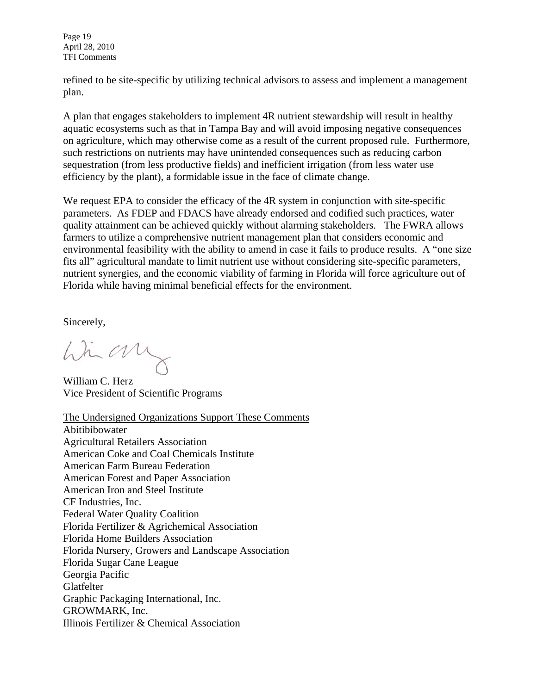Page 19 April 28, 2010 TFI Comments

refined to be site-specific by utilizing technical advisors to assess and implement a management plan.

A plan that engages stakeholders to implement 4R nutrient stewardship will result in healthy aquatic ecosystems such as that in Tampa Bay and will avoid imposing negative consequences on agriculture, which may otherwise come as a result of the current proposed rule. Furthermore, such restrictions on nutrients may have unintended consequences such as reducing carbon sequestration (from less productive fields) and inefficient irrigation (from less water use efficiency by the plant), a formidable issue in the face of climate change.

We request EPA to consider the efficacy of the 4R system in conjunction with site-specific parameters. As FDEP and FDACS have already endorsed and codified such practices, water quality attainment can be achieved quickly without alarming stakeholders. The FWRA allows farmers to utilize a comprehensive nutrient management plan that considers economic and environmental feasibility with the ability to amend in case it fails to produce results. A "one size fits all" agricultural mandate to limit nutrient use without considering site-specific parameters, nutrient synergies, and the economic viability of farming in Florida will force agriculture out of Florida while having minimal beneficial effects for the environment.

Sincerely,

himany

William C. Herz Vice President of Scientific Programs

The Undersigned Organizations Support These Comments Abitibibowater Agricultural Retailers Association American Coke and Coal Chemicals Institute American Farm Bureau Federation American Forest and Paper Association American Iron and Steel Institute CF Industries, Inc. Federal Water Quality Coalition Florida Fertilizer & Agrichemical Association Florida Home Builders Association Florida Nursery, Growers and Landscape Association Florida Sugar Cane League Georgia Pacific Glatfelter Graphic Packaging International, Inc. GROWMARK, Inc. Illinois Fertilizer & Chemical Association